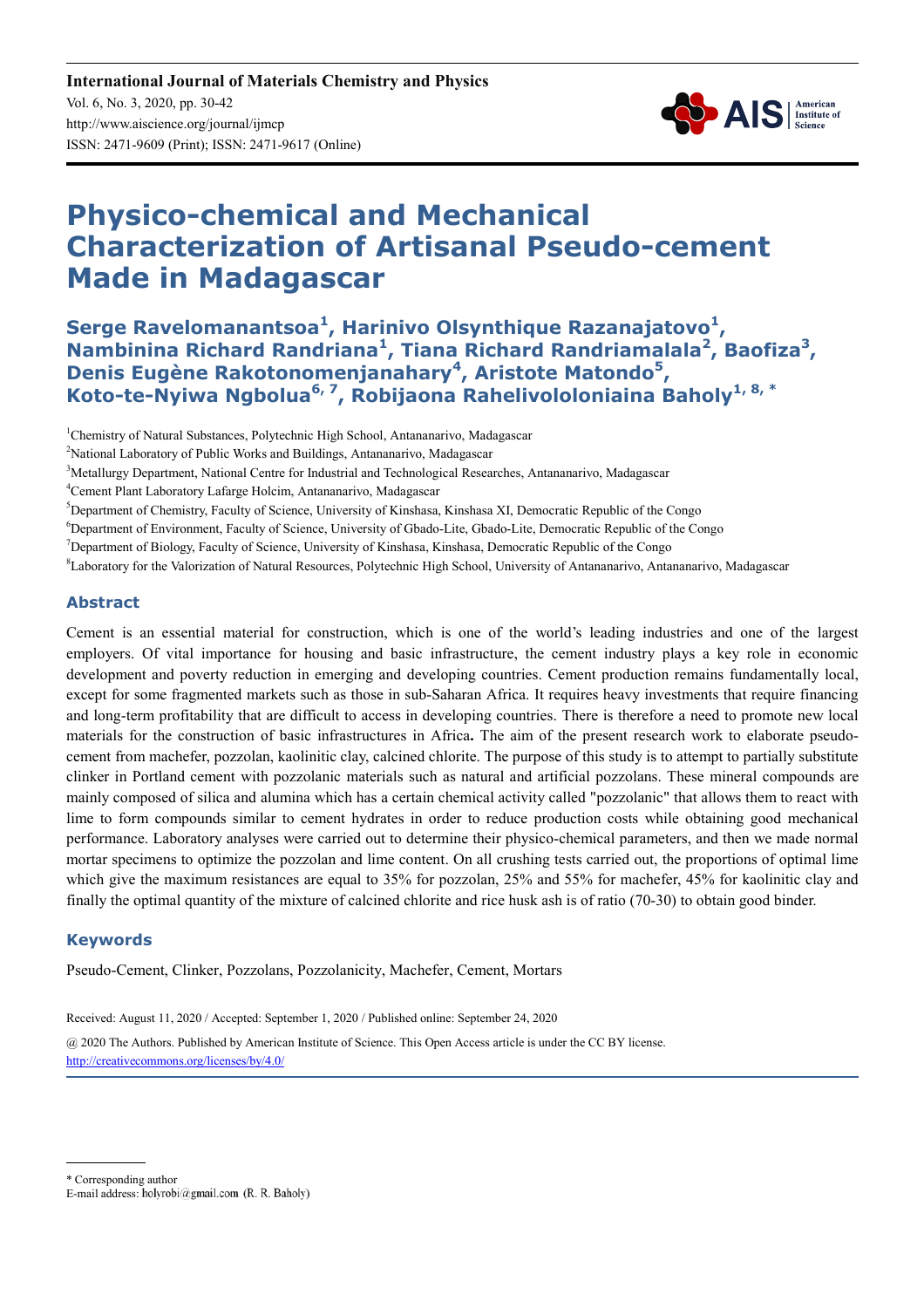

# **Physico-chemical and Mechanical Characterization of Artisanal Pseudo-cement Made in Madagascar**

**Serge Ravelomanantsoa<sup>1</sup> , Harinivo Olsynthique Razanajatovo<sup>1</sup> , Nambinina Richard Randriana<sup>1</sup> , Tiana Richard Randriamalala<sup>2</sup> , Baofiza<sup>3</sup> , Denis Eugène Rakotonomenjanahary<sup>4</sup> , Aristote Matondo<sup>5</sup> , Koto-te-Nyiwa Ngbolua6, 7, Robijaona Rahelivololoniaina Baholy1, 8, \***

<sup>1</sup>Chemistry of Natural Substances, Polytechnic High School, Antananarivo, Madagascar

<sup>5</sup>Department of Chemistry, Faculty of Science, University of Kinshasa, Kinshasa XI, Democratic Republic of the Congo

<sup>6</sup>Department of Environment, Faculty of Science, University of Gbado-Lite, Gbado-Lite, Democratic Republic of the Congo

<sup>7</sup>Department of Biology, Faculty of Science, University of Kinshasa, Kinshasa, Democratic Republic of the Congo

<sup>8</sup>Laboratory for the Valorization of Natural Resources, Polytechnic High School, University of Antananarivo, Antananarivo, Madagascar

#### **Abstract**

Cement is an essential material for construction, which is one of the world's leading industries and one of the largest employers. Of vital importance for housing and basic infrastructure, the cement industry plays a key role in economic development and poverty reduction in emerging and developing countries. Cement production remains fundamentally local, except for some fragmented markets such as those in sub-Saharan Africa. It requires heavy investments that require financing and long-term profitability that are difficult to access in developing countries. There is therefore a need to promote new local materials for the construction of basic infrastructures in Africa**.** The aim of the present research work to elaborate pseudocement from machefer, pozzolan, kaolinitic clay, calcined chlorite. The purpose of this study is to attempt to partially substitute clinker in Portland cement with pozzolanic materials such as natural and artificial pozzolans. These mineral compounds are mainly composed of silica and alumina which has a certain chemical activity called "pozzolanic" that allows them to react with lime to form compounds similar to cement hydrates in order to reduce production costs while obtaining good mechanical performance. Laboratory analyses were carried out to determine their physico-chemical parameters, and then we made normal mortar specimens to optimize the pozzolan and lime content. On all crushing tests carried out, the proportions of optimal lime which give the maximum resistances are equal to 35% for pozzolan, 25% and 55% for machefer, 45% for kaolinitic clay and finally the optimal quantity of the mixture of calcined chlorite and rice husk ash is of ratio (70-30) to obtain good binder.

#### **Keywords**

Pseudo-Cement, Clinker, Pozzolans, Pozzolanicity, Machefer, Cement, Mortars

Received: August 11, 2020 / Accepted: September 1, 2020 / Published online: September 24, 2020

@ 2020 The Authors. Published by American Institute of Science. This Open Access article is under the CC BY license. http://creativecommons.org/licenses/by/4.0/

\* Corresponding author

<sup>&</sup>lt;sup>2</sup>National Laboratory of Public Works and Buildings, Antananarivo, Madagascar

<sup>&</sup>lt;sup>3</sup>Metallurgy Department, National Centre for Industrial and Technological Researches, Antananarivo, Madagascar

<sup>4</sup>Cement Plant Laboratory Lafarge Holcim, Antananarivo, Madagascar

E-mail address: holyrobi@gmail.com (R. R. Baholy)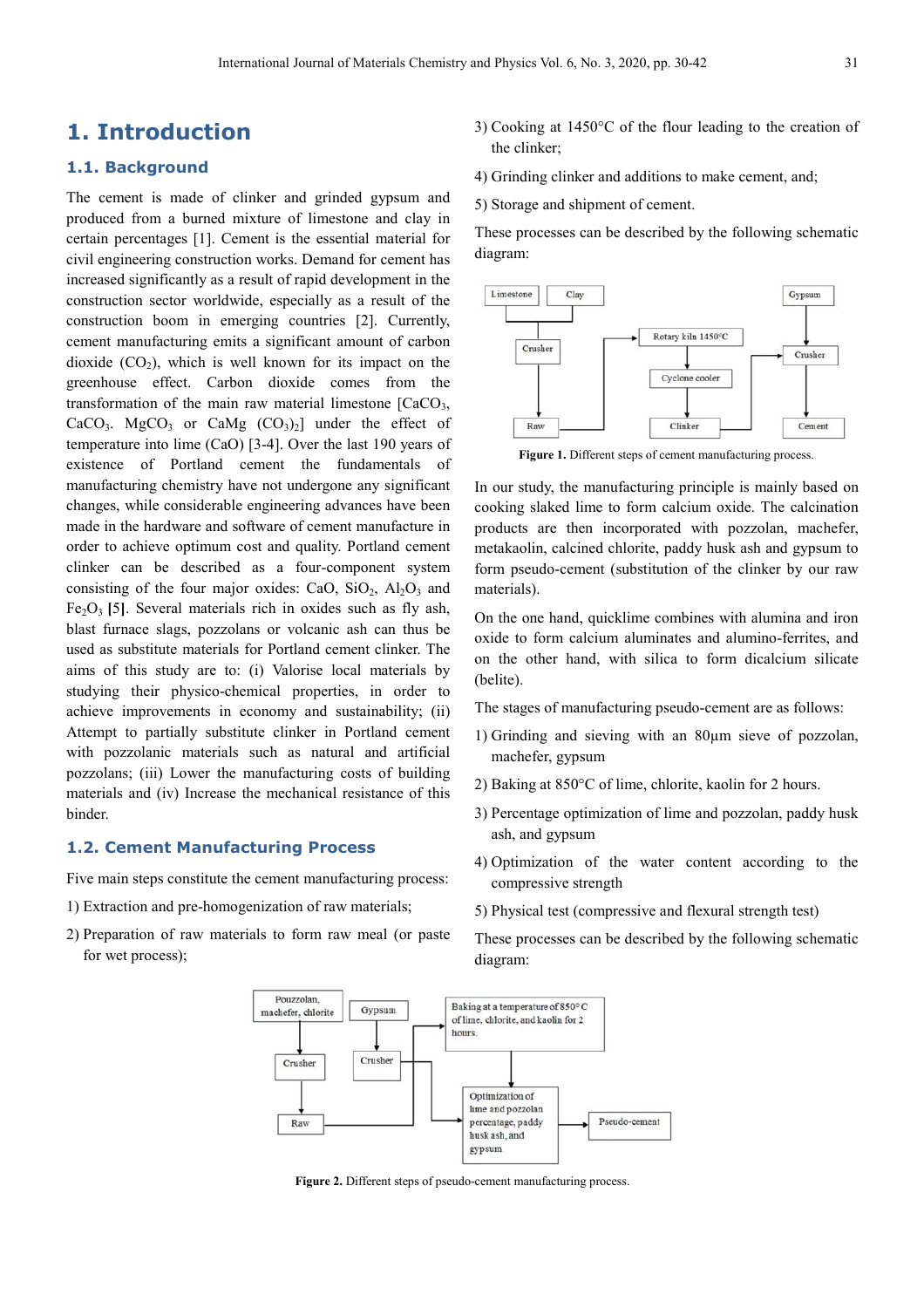## **1. Introduction**

#### **1.1. Background**

The cement is made of clinker and grinded gypsum and produced from a burned mixture of limestone and clay in certain percentages [1]. Cement is the essential material for civil engineering construction works. Demand for cement has increased significantly as a result of rapid development in the construction sector worldwide, especially as a result of the construction boom in emerging countries [2]. Currently, cement manufacturing emits a significant amount of carbon dioxide  $(CO<sub>2</sub>)$ , which is well known for its impact on the greenhouse effect. Carbon dioxide comes from the transformation of the main raw material limestone  $[CaCO<sub>3</sub>]$ , CaCO<sub>3</sub>. MgCO<sub>3</sub> or CaMg  $(CO<sub>3</sub>)<sub>2</sub>$  under the effect of temperature into lime (CaO) [3-4]. Over the last 190 years of existence of Portland cement the fundamentals of manufacturing chemistry have not undergone any significant changes, while considerable engineering advances have been made in the hardware and software of cement manufacture in order to achieve optimum cost and quality. Portland cement clinker can be described as a four-component system consisting of the four major oxides: CaO,  $SiO_2$ ,  $Al_2O_3$  and  $Fe<sub>2</sub>O<sub>3</sub>$  [5]. Several materials rich in oxides such as fly ash, blast furnace slags, pozzolans or volcanic ash can thus be used as substitute materials for Portland cement clinker. The aims of this study are to: (i) Valorise local materials by studying their physico-chemical properties, in order to achieve improvements in economy and sustainability; (ii) Attempt to partially substitute clinker in Portland cement with pozzolanic materials such as natural and artificial pozzolans; (iii) Lower the manufacturing costs of building materials and (iv) Increase the mechanical resistance of this binder.

#### **1.2. Cement Manufacturing Process**

Five main steps constitute the cement manufacturing process:

- 1) Extraction and pre-homogenization of raw materials;
- 2) Preparation of raw materials to form raw meal (or paste for wet process);
- 3) Cooking at 1450°C of the flour leading to the creation of the clinker;
- 4) Grinding clinker and additions to make cement, and;
- 5) Storage and shipment of cement.

These processes can be described by the following schematic diagram:



**Figure 1.** Different steps of cement manufacturing process.

In our study, the manufacturing principle is mainly based on cooking slaked lime to form calcium oxide. The calcination products are then incorporated with pozzolan, machefer, metakaolin, calcined chlorite, paddy husk ash and gypsum to form pseudo-cement (substitution of the clinker by our raw materials).

On the one hand, quicklime combines with alumina and iron oxide to form calcium aluminates and alumino-ferrites, and on the other hand, with silica to form dicalcium silicate (belite).

- The stages of manufacturing pseudo-cement are as follows:
- 1) Grinding and sieving with an 80µm sieve of pozzolan, machefer, gypsum
- 2) Baking at 850°C of lime, chlorite, kaolin for 2 hours.
- 3) Percentage optimization of lime and pozzolan, paddy husk ash, and gypsum
- 4) Optimization of the water content according to the compressive strength
- 5) Physical test (compressive and flexural strength test)

These processes can be described by the following schematic diagram:



**Figure 2.** Different steps of pseudo-cement manufacturing process.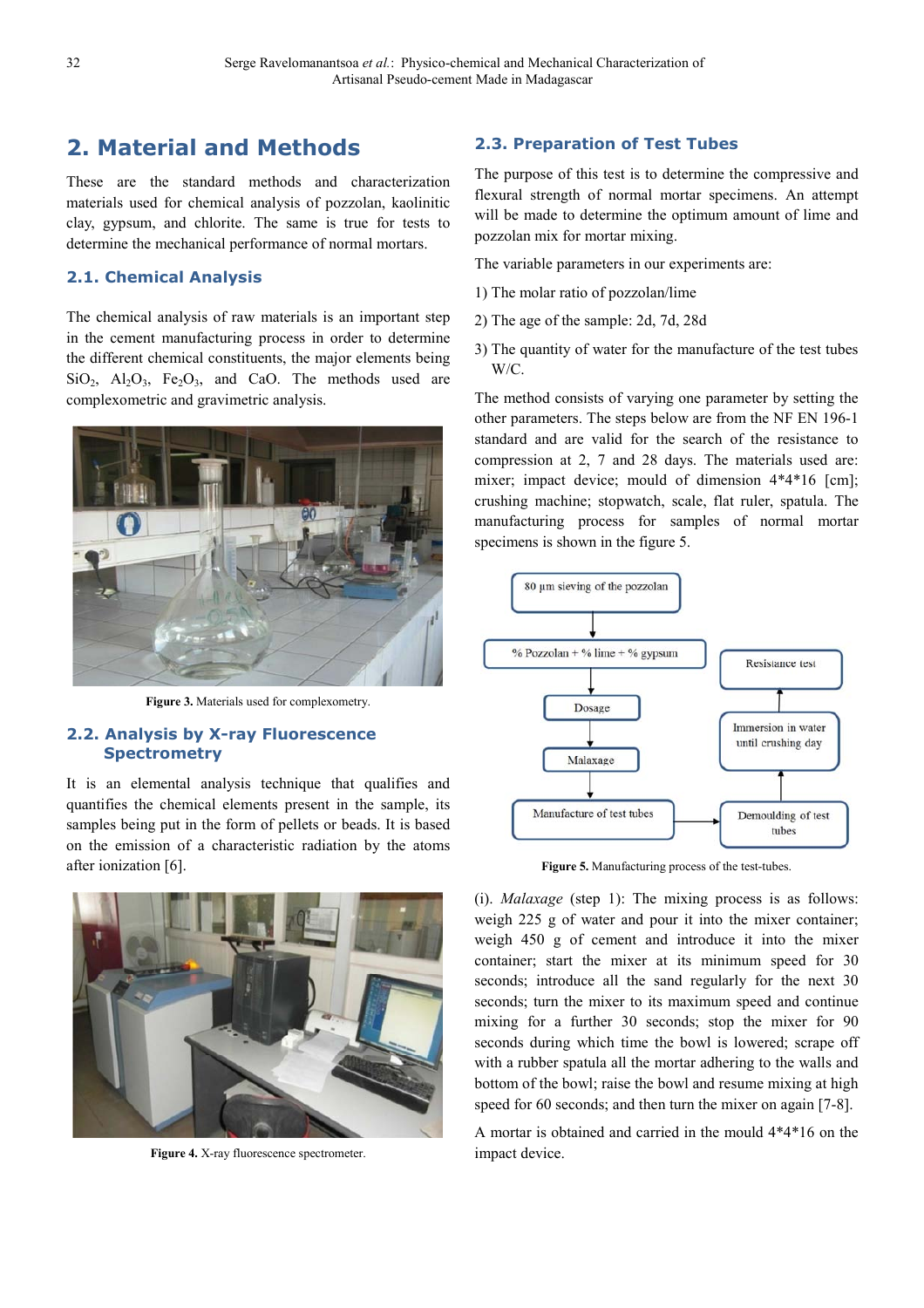# **2. Material and Methods**

These are the standard methods and characterization materials used for chemical analysis of pozzolan, kaolinitic clay, gypsum, and chlorite. The same is true for tests to determine the mechanical performance of normal mortars.

#### **2.1. Chemical Analysis**

The chemical analysis of raw materials is an important step in the cement manufacturing process in order to determine the different chemical constituents, the major elements being  $SiO<sub>2</sub>$ ,  $Al<sub>2</sub>O<sub>3</sub>$ ,  $Fe<sub>2</sub>O<sub>3</sub>$ , and CaO. The methods used are complexometric and gravimetric analysis.



**Figure 3.** Materials used for complexometry.

#### **2.2. Analysis by X-ray Fluorescence Spectrometry**

It is an elemental analysis technique that qualifies and quantifies the chemical elements present in the sample, its samples being put in the form of pellets or beads. It is based on the emission of a characteristic radiation by the atoms after ionization [6].



**Figure 4.** X-ray fluorescence spectrometer.

#### **2.3. Preparation of Test Tubes**

The purpose of this test is to determine the compressive and flexural strength of normal mortar specimens. An attempt will be made to determine the optimum amount of lime and pozzolan mix for mortar mixing.

The variable parameters in our experiments are:

- 1) The molar ratio of pozzolan/lime
- 2) The age of the sample: 2d, 7d, 28d
- 3) The quantity of water for the manufacture of the test tubes W/C.

The method consists of varying one parameter by setting the other parameters. The steps below are from the NF EN 196-1 standard and are valid for the search of the resistance to compression at 2, 7 and 28 days. The materials used are: mixer; impact device; mould of dimension  $4*4*16$  [cm]; crushing machine; stopwatch, scale, flat ruler, spatula. The manufacturing process for samples of normal mortar specimens is shown in the figure 5.



**Figure 5.** Manufacturing process of the test-tubes.

(i). *Malaxage* (step 1): The mixing process is as follows: weigh 225 g of water and pour it into the mixer container; weigh 450 g of cement and introduce it into the mixer container; start the mixer at its minimum speed for 30 seconds; introduce all the sand regularly for the next 30 seconds; turn the mixer to its maximum speed and continue mixing for a further 30 seconds; stop the mixer for 90 seconds during which time the bowl is lowered; scrape off with a rubber spatula all the mortar adhering to the walls and bottom of the bowl; raise the bowl and resume mixing at high speed for 60 seconds; and then turn the mixer on again [7-8].

A mortar is obtained and carried in the mould 4\*4\*16 on the impact device.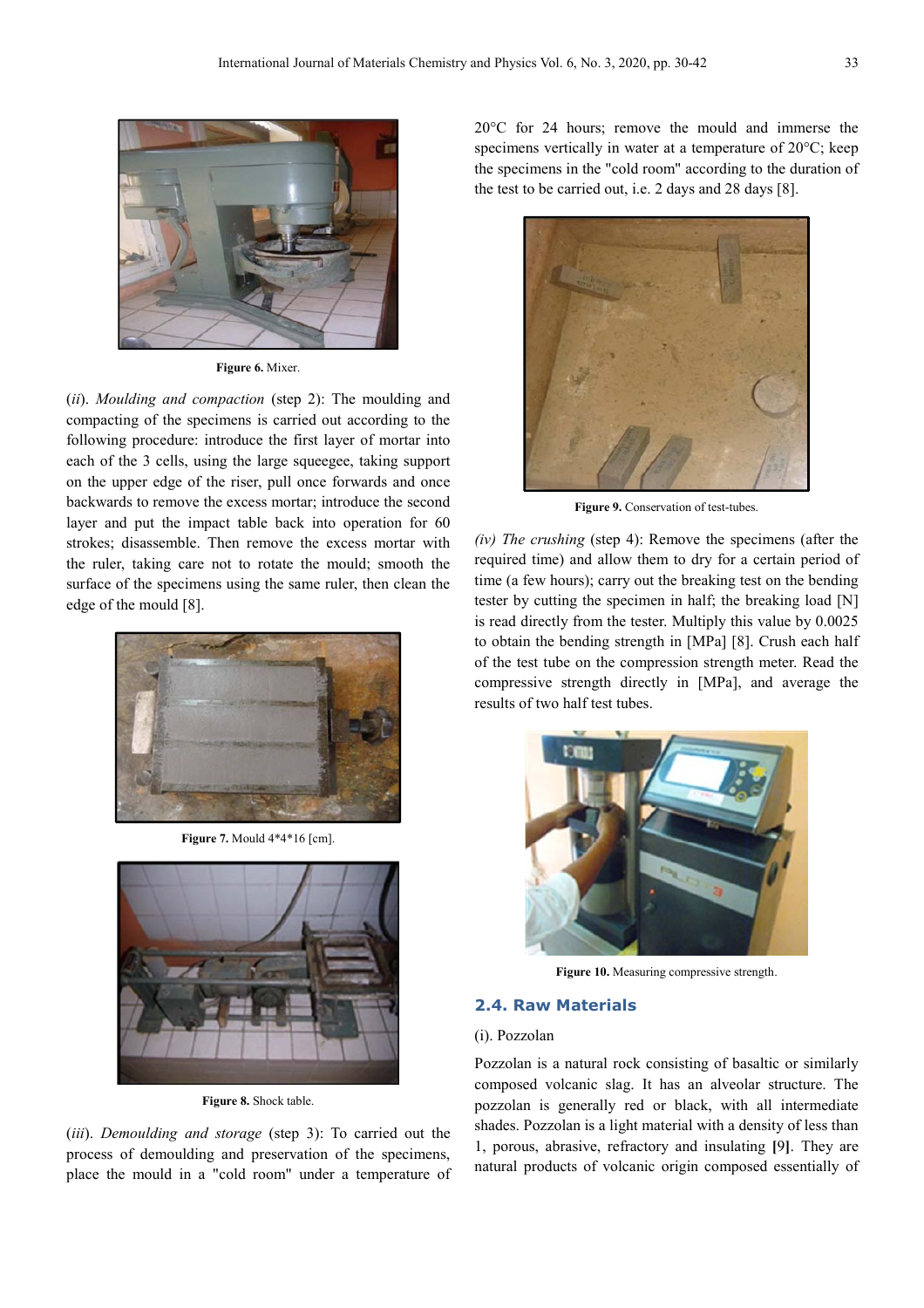

**Figure 6.** Mixer.

(*ii*). *Moulding and compaction* (step 2): The moulding and compacting of the specimens is carried out according to the following procedure: introduce the first layer of mortar into each of the 3 cells, using the large squeegee, taking support on the upper edge of the riser, pull once forwards and once backwards to remove the excess mortar; introduce the second layer and put the impact table back into operation for 60 strokes; disassemble. Then remove the excess mortar with the ruler, taking care not to rotate the mould; smooth the surface of the specimens using the same ruler, then clean the edge of the mould [8].



**Figure 7.** Mould 4\*4\*16 [cm].



**Figure 8.** Shock table.

(*iii*). *Demoulding and storage* (step 3): To carried out the process of demoulding and preservation of the specimens, place the mould in a "cold room" under a temperature of 20°C for 24 hours; remove the mould and immerse the specimens vertically in water at a temperature of 20°C; keep the specimens in the "cold room" according to the duration of the test to be carried out, i.e. 2 days and 28 days [8].



Figure 9. Conservation of test-tubes.

*(iv) The crushing* (step 4): Remove the specimens (after the required time) and allow them to dry for a certain period of time (a few hours); carry out the breaking test on the bending tester by cutting the specimen in half; the breaking load [N] is read directly from the tester. Multiply this value by 0.0025 to obtain the bending strength in [MPa] [8]. Crush each half of the test tube on the compression strength meter. Read the compressive strength directly in [MPa], and average the results of two half test tubes.



Figure 10. Measuring compressive strength.

#### **2.4. Raw Materials**

#### (i). Pozzolan

Pozzolan is a natural rock consisting of basaltic or similarly composed volcanic slag. It has an alveolar structure. The pozzolan is generally red or black, with all intermediate shades. Pozzolan is a light material with a density of less than 1, porous, abrasive, refractory and insulating **[**9**]**. They are natural products of volcanic origin composed essentially of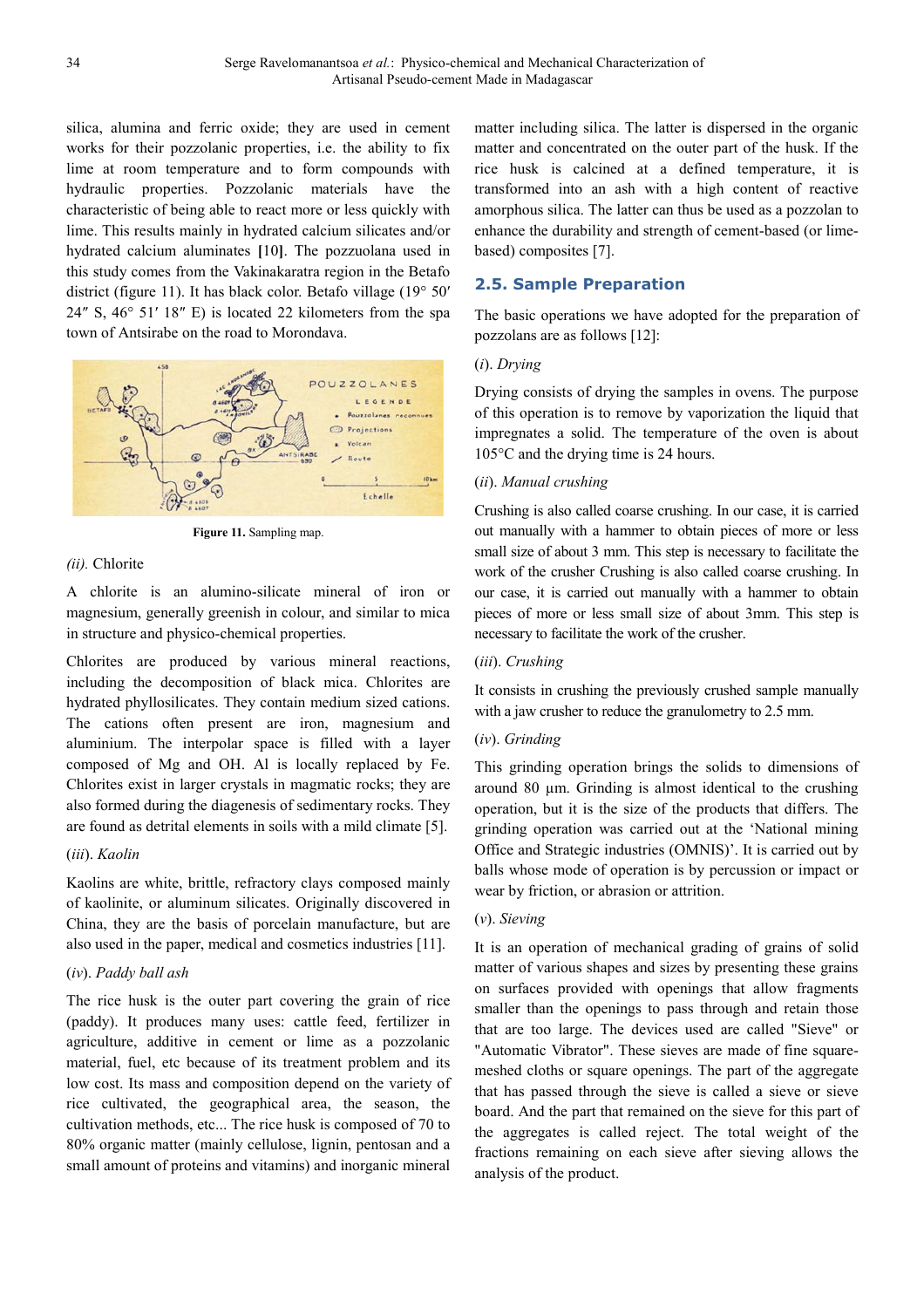silica, alumina and ferric oxide; they are used in cement works for their pozzolanic properties, i.e. the ability to fix lime at room temperature and to form compounds with hydraulic properties. Pozzolanic materials have the characteristic of being able to react more or less quickly with lime. This results mainly in hydrated calcium silicates and/or hydrated calcium aluminates **[**10**]**. The pozzuolana used in this study comes from the Vakinakaratra region in the Betafo district (figure 11). It has black color. Betafo village (19° 50′ 24″ S, 46° 51′ 18″ E) is located 22 kilometers from the spa town of Antsirabe on the road to Morondava.



**Figure 11.** Sampling map.

#### *(ii).* Chlorite

A chlorite is an alumino-silicate mineral of iron or magnesium, generally greenish in colour, and similar to mica in structure and physico-chemical properties.

Chlorites are produced by various mineral reactions, including the decomposition of black mica. Chlorites are hydrated phyllosilicates. They contain medium sized cations. The cations often present are iron, magnesium and aluminium. The interpolar space is filled with a layer composed of Mg and OH. Al is locally replaced by Fe. Chlorites exist in larger crystals in magmatic rocks; they are also formed during the diagenesis of sedimentary rocks. They are found as detrital elements in soils with a mild climate [5].

#### (*iii*). *Kaolin*

Kaolins are white, brittle, refractory clays composed mainly of kaolinite, or aluminum silicates. Originally discovered in China, they are the basis of porcelain manufacture, but are also used in the paper, medical and cosmetics industries [11].

#### (*iv*). *Paddy ball ash*

The rice husk is the outer part covering the grain of rice (paddy). It produces many uses: cattle feed, fertilizer in agriculture, additive in cement or lime as a pozzolanic material, fuel, etc because of its treatment problem and its low cost. Its mass and composition depend on the variety of rice cultivated, the geographical area, the season, the cultivation methods, etc... The rice husk is composed of 70 to 80% organic matter (mainly cellulose, lignin, pentosan and a small amount of proteins and vitamins) and inorganic mineral matter including silica. The latter is dispersed in the organic matter and concentrated on the outer part of the husk. If the rice husk is calcined at a defined temperature, it is transformed into an ash with a high content of reactive amorphous silica. The latter can thus be used as a pozzolan to enhance the durability and strength of cement-based (or limebased) composites [7].

### **2.5. Sample Preparation**

The basic operations we have adopted for the preparation of pozzolans are as follows [12]:

#### (*i*). *Drying*

Drying consists of drying the samples in ovens. The purpose of this operation is to remove by vaporization the liquid that impregnates a solid. The temperature of the oven is about 105°C and the drying time is 24 hours.

#### (*ii*). *Manual crushing*

Crushing is also called coarse crushing. In our case, it is carried out manually with a hammer to obtain pieces of more or less small size of about 3 mm. This step is necessary to facilitate the work of the crusher Crushing is also called coarse crushing. In our case, it is carried out manually with a hammer to obtain pieces of more or less small size of about 3mm. This step is necessary to facilitate the work of the crusher.

#### (*iii*). *Crushing*

It consists in crushing the previously crushed sample manually with a jaw crusher to reduce the granulometry to 2.5 mm.

#### (*iv*). *Grinding*

This grinding operation brings the solids to dimensions of around 80  $\mu$ m. Grinding is almost identical to the crushing operation, but it is the size of the products that differs. The grinding operation was carried out at the 'National mining Office and Strategic industries (OMNIS)'. It is carried out by balls whose mode of operation is by percussion or impact or wear by friction, or abrasion or attrition.

#### (*v*). *Sieving*

It is an operation of mechanical grading of grains of solid matter of various shapes and sizes by presenting these grains on surfaces provided with openings that allow fragments smaller than the openings to pass through and retain those that are too large. The devices used are called "Sieve" or "Automatic Vibrator". These sieves are made of fine squaremeshed cloths or square openings. The part of the aggregate that has passed through the sieve is called a sieve or sieve board. And the part that remained on the sieve for this part of the aggregates is called reject. The total weight of the fractions remaining on each sieve after sieving allows the analysis of the product.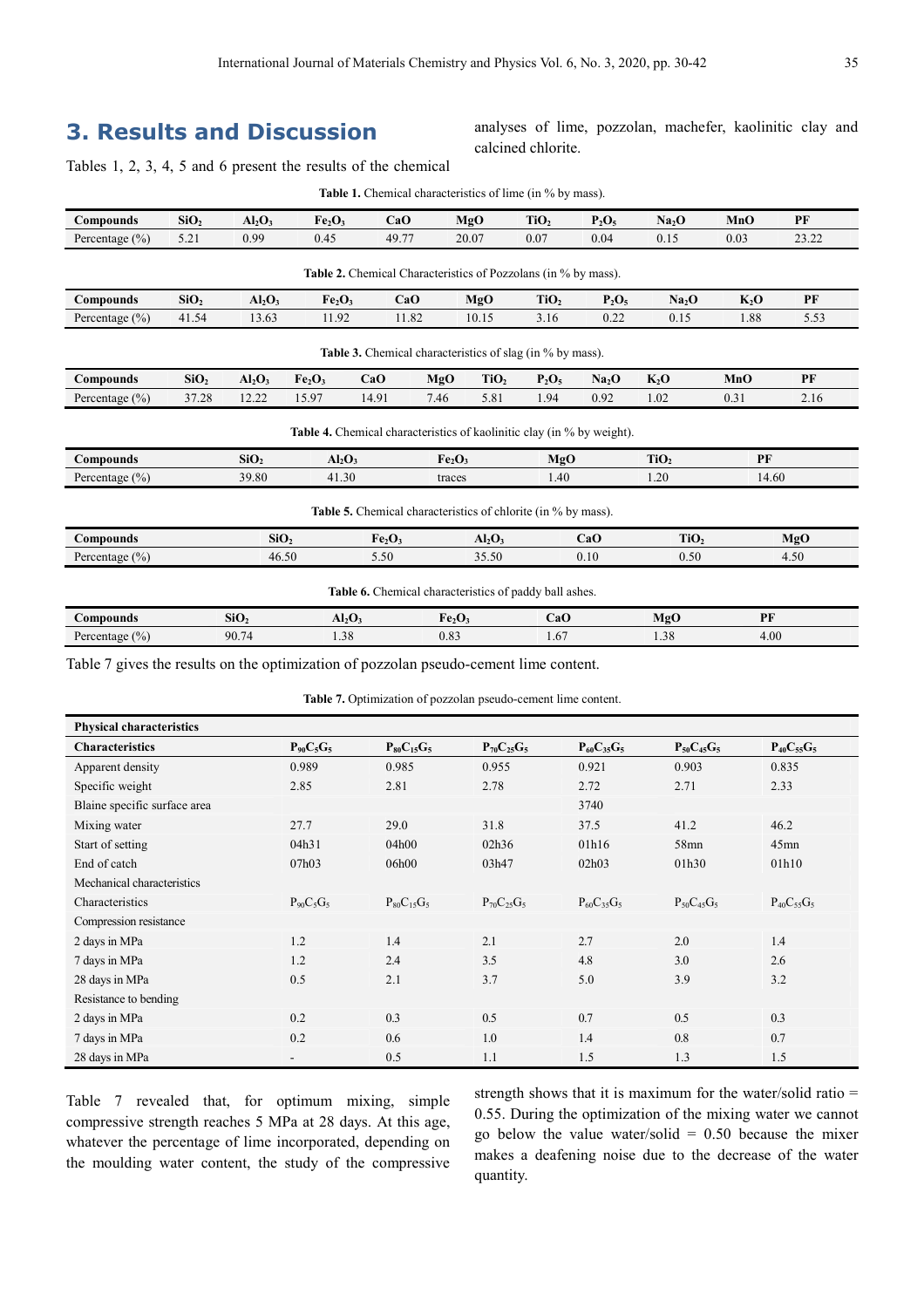# **3. Results and Discussion**

analyses of lime, pozzolan, machefer, kaolinitic clay and calcined chlorite.

Tables 1, 2, 3, 4, 5 and 6 present the results of the chemical

|                                                                  |                  |                  |                                | <b>Table 1.</b> Chemical characteristics of lime (in % by mass).              |                                |                  |                  |                   |                   |         |       |
|------------------------------------------------------------------|------------------|------------------|--------------------------------|-------------------------------------------------------------------------------|--------------------------------|------------------|------------------|-------------------|-------------------|---------|-------|
| <b>Compounds</b>                                                 | SiO <sub>2</sub> | $Al_2O_3$        | Fe <sub>2</sub> O <sub>3</sub> | CaO                                                                           |                                | MgO              | TiO <sub>2</sub> | $P_2O_5$          | Na <sub>2</sub> O | MnO     | PF    |
| Percentage $(\% )$                                               | 5.21             | 0.99             | 0.45                           | 49.77                                                                         |                                | 20.07            | 0.07             | 0.04              | 0.15              | 0.03    | 23.22 |
|                                                                  |                  |                  |                                | <b>Table 2.</b> Chemical Characteristics of Pozzolans (in % by mass).         |                                |                  |                  |                   |                   |         |       |
| Compounds                                                        | SiO <sub>2</sub> | $Al_2O_3$        | Fe <sub>2</sub> O <sub>3</sub> | CaO                                                                           |                                | MgO              | TiO <sub>2</sub> | $P_2O_5$          | Na <sub>2</sub> O | $K_2$ O | PF    |
| Percentage $(\% )$                                               | 41.54            | 13.63            | 11.92                          | 11.82                                                                         |                                | 10.15            | 3.16             | 0.22              | 0.15              | 1.88    | 5.53  |
| <b>Table 3.</b> Chemical characteristics of slag (in % by mass). |                  |                  |                                |                                                                               |                                |                  |                  |                   |                   |         |       |
| <b>Compounds</b>                                                 | SiO <sub>2</sub> | $Al_2O_3$        | Fe <sub>2</sub> O <sub>3</sub> | CaO                                                                           | MgO                            | TiO <sub>2</sub> | $P_2O_5$         | Na <sub>2</sub> O | $K_2$ O           | MnO     | PF    |
| Percentage $(\% )$                                               | 37.28            | 12.22            | 15.97                          | 14.91                                                                         | 7.46                           | 5.81             | 1.94             | 0.92              | 1.02              | 0.31    | 2.16  |
|                                                                  |                  |                  |                                | <b>Table 4.</b> Chemical characteristics of kaolinitic clay (in % by weight). |                                |                  |                  |                   |                   |         |       |
| Compounds                                                        |                  | SiO <sub>2</sub> | $Al_2O_3$                      |                                                                               | Fe <sub>2</sub> O <sub>3</sub> |                  | MgO              |                   | TiO <sub>2</sub>  | PF      |       |
| Percentage $(\% )$                                               |                  | 39.80            | 41.30                          |                                                                               | traces                         |                  | 1.40             |                   | 1.20              | 14.60   |       |
|                                                                  |                  |                  |                                | <b>Table 5.</b> Chemical characteristics of chlorite (in % by mass).          |                                |                  |                  |                   |                   |         |       |
| Compounds                                                        |                  | SiO <sub>2</sub> |                                | Fe <sub>2</sub> O <sub>3</sub>                                                |                                | $Al_2O_3$        |                  | CaO               | TiO <sub>2</sub>  |         | MgO   |
| Percentage $(\% )$                                               |                  | 46.50            |                                | 5.50                                                                          |                                | 35.50            |                  | 0.10              | 0.50              |         | 4.50  |
| Table 6. Chemical characteristics of paddy ball ashes.           |                  |                  |                                |                                                                               |                                |                  |                  |                   |                   |         |       |
| Compounds                                                        |                  | SiO <sub>2</sub> | $Al_2O_3$                      |                                                                               | Fe <sub>2</sub> O <sub>3</sub> |                  | CaO              |                   | MgO               | PF      |       |
| Percentage $(\% )$                                               |                  | 90.74            | 1.38                           |                                                                               | 0.83                           |                  | 1.67             |                   | 1.38              | 4.00    |       |

Table 7 gives the results on the optimization of pozzolan pseudo-cement lime content.

**Table 7.** Optimization of pozzolan pseudo-cement lime content.

| <b>Physical characteristics</b> |                          |                   |                   |                   |                   |                   |
|---------------------------------|--------------------------|-------------------|-------------------|-------------------|-------------------|-------------------|
| <b>Characteristics</b>          | $P_{90}C_5G_5$           | $P_{80}C_{15}G_5$ | $P_{70}C_{25}G_5$ | $P_{60}C_{35}G_5$ | $P_{50}C_{45}G_5$ | $P_{40}C_{55}G_5$ |
| Apparent density                | 0.989                    | 0.985             | 0.955             | 0.921             | 0.903             | 0.835             |
| Specific weight                 | 2.85                     | 2.81              | 2.78              | 2.72              | 2.71              | 2.33              |
| Blaine specific surface area    |                          |                   |                   | 3740              |                   |                   |
| Mixing water                    | 27.7                     | 29.0              | 31.8              | 37.5              | 41.2              | 46.2              |
| Start of setting                | 04h31                    | 04h00             | 02h36             | 01h16             | 58mn              | $45$ mn           |
| End of catch                    | 07h03                    | 06h00             | 03h47             | 02h03             | 01h30             | 01h10             |
| Mechanical characteristics      |                          |                   |                   |                   |                   |                   |
| Characteristics                 | $P_{90}C_{5}G_{5}$       | $P_{80}C_{15}G_5$ | $P_{70}C_{25}G_5$ | $P_{60}C_{35}G_5$ | $P_{50}C_{45}G_5$ | $P_{40}C_{55}G_5$ |
| Compression resistance          |                          |                   |                   |                   |                   |                   |
| 2 days in MPa                   | 1.2                      | 1.4               | 2.1               | 2.7               | 2.0               | 1.4               |
| 7 days in MPa                   | 1.2                      | 2.4               | 3.5               | 4.8               | 3.0               | 2.6               |
| 28 days in MPa                  | 0.5                      | 2.1               | 3.7               | 5.0               | 3.9               | 3.2               |
| Resistance to bending           |                          |                   |                   |                   |                   |                   |
| 2 days in MPa                   | 0.2                      | 0.3               | 0.5               | 0.7               | 0.5               | 0.3               |
| 7 days in MPa                   | 0.2                      | 0.6               | 1.0               | 1.4               | 0.8               | 0.7               |
| 28 days in MPa                  | $\overline{\phantom{a}}$ | 0.5               | 1.1               | 1.5               | 1.3               | 1.5               |

Table 7 revealed that, for optimum mixing, simple compressive strength reaches 5 MPa at 28 days. At this age, whatever the percentage of lime incorporated, depending on the moulding water content, the study of the compressive strength shows that it is maximum for the water/solid ratio = 0.55. During the optimization of the mixing water we cannot go below the value water/solid  $= 0.50$  because the mixer makes a deafening noise due to the decrease of the water quantity.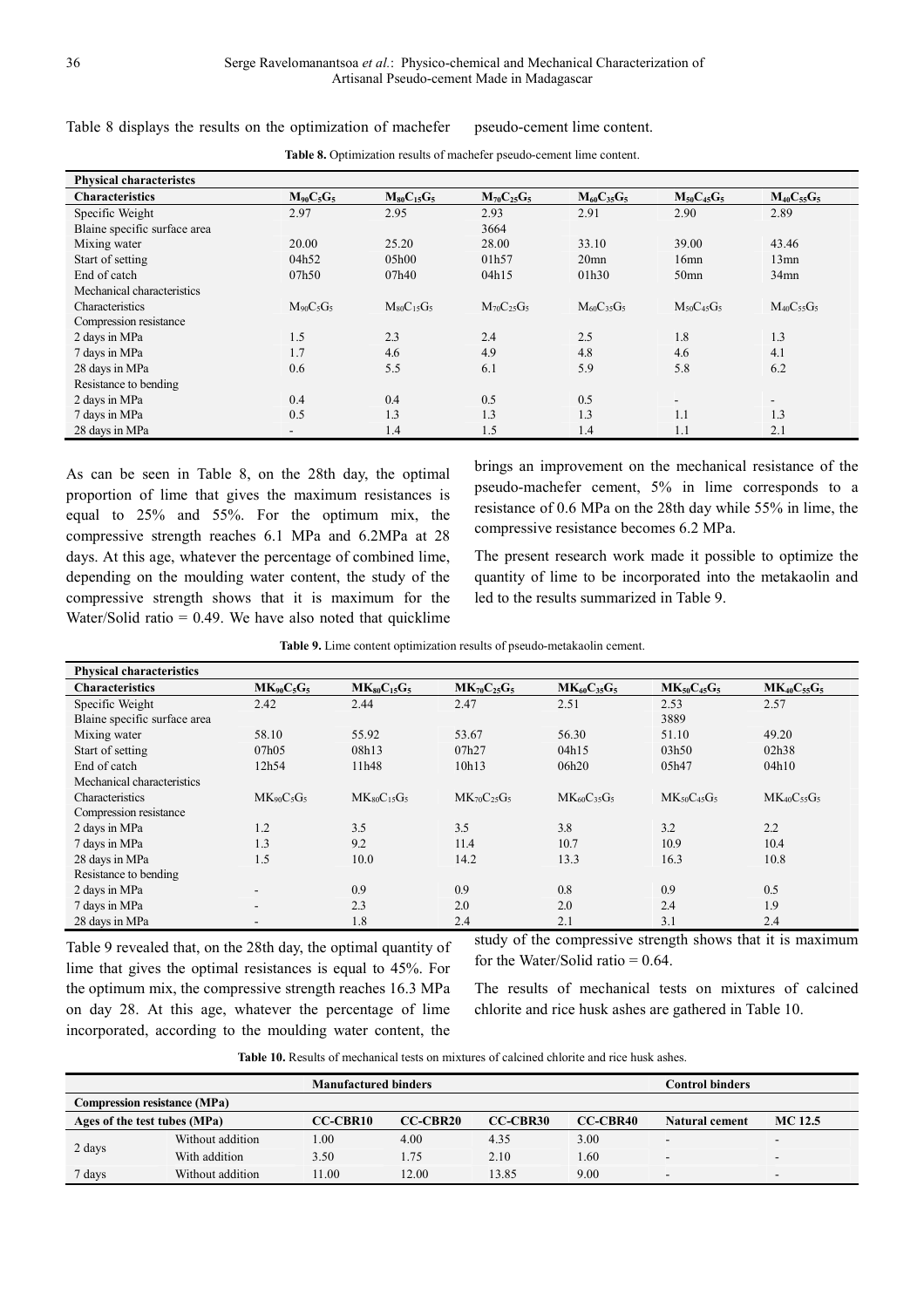| <b>Physical characteristes</b> |                          |                   |                   |                   |                          |                   |
|--------------------------------|--------------------------|-------------------|-------------------|-------------------|--------------------------|-------------------|
| <b>Characteristics</b>         | $M_{90}C_5G_5$           | $M_{80}C_{15}G_5$ | $M_{70}C_{25}G_5$ | $M_{60}C_{35}G_5$ | $M_{50}C_{45}G_5$        | $M_{40}C_{55}G_5$ |
| Specific Weight                | 2.97                     | 2.95              | 2.93              | 2.91              | 2.90                     | 2.89              |
| Blaine specific surface area   |                          |                   | 3664              |                   |                          |                   |
| Mixing water                   | 20.00                    | 25.20             | 28.00             | 33.10             | 39.00                    | 43.46             |
| Start of setting               | 04h52                    | 05h00             | 01h57             | 20 <sub>mn</sub>  | 16mn                     | $13$ mn           |
| End of catch                   | 07h50                    | 07h40             | 04h15             | 01h30             | 50 <sub>mn</sub>         | $34$ mn           |
| Mechanical characteristics     |                          |                   |                   |                   |                          |                   |
| Characteristics                | $M_{90}C_5G_5$           | $M_{80}C_{15}G_5$ | $M_{70}C_{25}G_5$ | $M_{60}C_{35}G_5$ | $M_{50}C_{45}G_5$        | $M_{40}C_{55}G_5$ |
| Compression resistance         |                          |                   |                   |                   |                          |                   |
| 2 days in MPa                  | 1.5                      | 2.3               | 2.4               | 2.5               | 1.8                      | 1.3               |
| 7 days in MPa                  | 1.7                      | 4.6               | 4.9               | 4.8               | 4.6                      | 4.1               |
| 28 days in MPa                 | 0.6                      | 5.5               | 6.1               | 5.9               | 5.8                      | 6.2               |
| Resistance to bending          |                          |                   |                   |                   |                          |                   |
| 2 days in MPa                  | 0.4                      | 0.4               | 0.5               | 0.5               | $\overline{\phantom{a}}$ | $\sim$            |
| 7 days in MPa                  | 0.5                      | 1.3               | 1.3               | 1.3               | 1.1                      | 1.3               |
| 28 days in MPa                 | $\overline{\phantom{0}}$ | 1.4               | 1.5               | 1.4               | 1.1                      | 2.1               |

**Table 8.** Optimization results of machefer pseudo-cement lime content.

Table 8 displays the results on the optimization of machefer pseudo-cement lime content.

As can be seen in Table 8, on the 28th day, the optimal proportion of lime that gives the maximum resistances is equal to 25% and 55%. For the optimum mix, the compressive strength reaches 6.1 MPa and 6.2MPa at 28 days. At this age, whatever the percentage of combined lime, depending on the moulding water content, the study of the compressive strength shows that it is maximum for the Water/Solid ratio  $= 0.49$ . We have also noted that quicklime brings an improvement on the mechanical resistance of the pseudo-machefer cement, 5% in lime corresponds to a resistance of 0.6 MPa on the 28th day while 55% in lime, the compressive resistance becomes 6.2 MPa.

The present research work made it possible to optimize the quantity of lime to be incorporated into the metakaolin and led to the results summarized in Table 9.

| Table 9. Lime content optimization results of pseudo-metakaolin cement. |  |  |  |
|-------------------------------------------------------------------------|--|--|--|
|-------------------------------------------------------------------------|--|--|--|

| <b>Physical characteristics</b> |                 |                    |                    |                    |                    |                    |
|---------------------------------|-----------------|--------------------|--------------------|--------------------|--------------------|--------------------|
| <b>Characteristics</b>          | $MK_{90}C_5G_5$ | $MK_{80}C_{15}G_5$ | $MK_{70}C_{25}G_5$ | $MK_{60}C_{35}G_5$ | $MK_{50}C_{45}G_5$ | $MK_{40}C_{55}G_5$ |
| Specific Weight                 | 2.42            | 2.44               | 2.47               | 2.51               | 2.53               | 2.57               |
| Blaine specific surface area    |                 |                    |                    |                    | 3889               |                    |
| Mixing water                    | 58.10           | 55.92              | 53.67              | 56.30              | 51.10              | 49.20              |
| Start of setting                | 07h05           | 08h13              | 07h27              | 04h15              | 03h50              | 02h38              |
| End of catch                    | 12h54           | 11h48              | 10h13              | 06h20              | 05h47              | 04h10              |
| Mechanical characteristics      |                 |                    |                    |                    |                    |                    |
| Characteristics                 | $MK_{90}C_5G_5$ | $MK_{80}C_{15}G_5$ | $MK_{70}C_{25}G_5$ | $MK_{60}C_{35}G_5$ | $MK_{50}C_{45}G_5$ | $MK_{40}C_{55}G_5$ |
| Compression resistance          |                 |                    |                    |                    |                    |                    |
| 2 days in MPa                   | 1.2             | 3.5                | 3.5                | 3.8                | 3.2                | 2.2                |
| 7 days in MPa                   | 1.3             | 9.2                | 11.4               | 10.7               | 10.9               | 10.4               |
| 28 days in MPa                  | 1.5             | 10.0               | 14.2               | 13.3               | 16.3               | 10.8               |
| Resistance to bending           |                 |                    |                    |                    |                    |                    |
| 2 days in MPa                   |                 | 0.9                | 0.9                | 0.8                | 0.9                | 0.5                |
| 7 days in MPa                   | ۰.              | 2.3                | 2.0                | 2.0                | 2.4                | 1.9                |
| 28 days in MPa                  | ۰               | 1.8                | 2.4                | 2.1                | 3.1                | 2.4                |

Table 9 revealed that, on the 28th day, the optimal quantity of lime that gives the optimal resistances is equal to 45%. For the optimum mix, the compressive strength reaches 16.3 MPa on day 28. At this age, whatever the percentage of lime incorporated, according to the moulding water content, the study of the compressive strength shows that it is maximum for the Water/Solid ratio  $= 0.64$ .

The results of mechanical tests on mixtures of calcined chlorite and rice husk ashes are gathered in Table 10.

**Table 10.** Results of mechanical tests on mixtures of calcined chlorite and rice husk ashes.

| <b>Manufactured binders</b>         |                  |                 |                 |          | Control binders |                          |                          |
|-------------------------------------|------------------|-----------------|-----------------|----------|-----------------|--------------------------|--------------------------|
| <b>Compression resistance (MPa)</b> |                  |                 |                 |          |                 |                          |                          |
| Ages of the test tubes (MPa)        |                  | <b>CC-CBR10</b> | <b>CC-CBR20</b> | CC-CBR30 | CC-CBR40        | Natural cement           | MC 12.5                  |
|                                     | Without addition | .00             | 4.00            | 4.35     | 3.00            | $\overline{\phantom{0}}$ | $\overline{\phantom{0}}$ |
| 2 days                              | With addition    | 3.50            | 1.75            | 2.10     | .60             | $\sim$                   | $\overline{\phantom{0}}$ |
| 7 days                              | Without addition | 11.00           | 12.00           | 13.85    | 9.00            | -                        | -                        |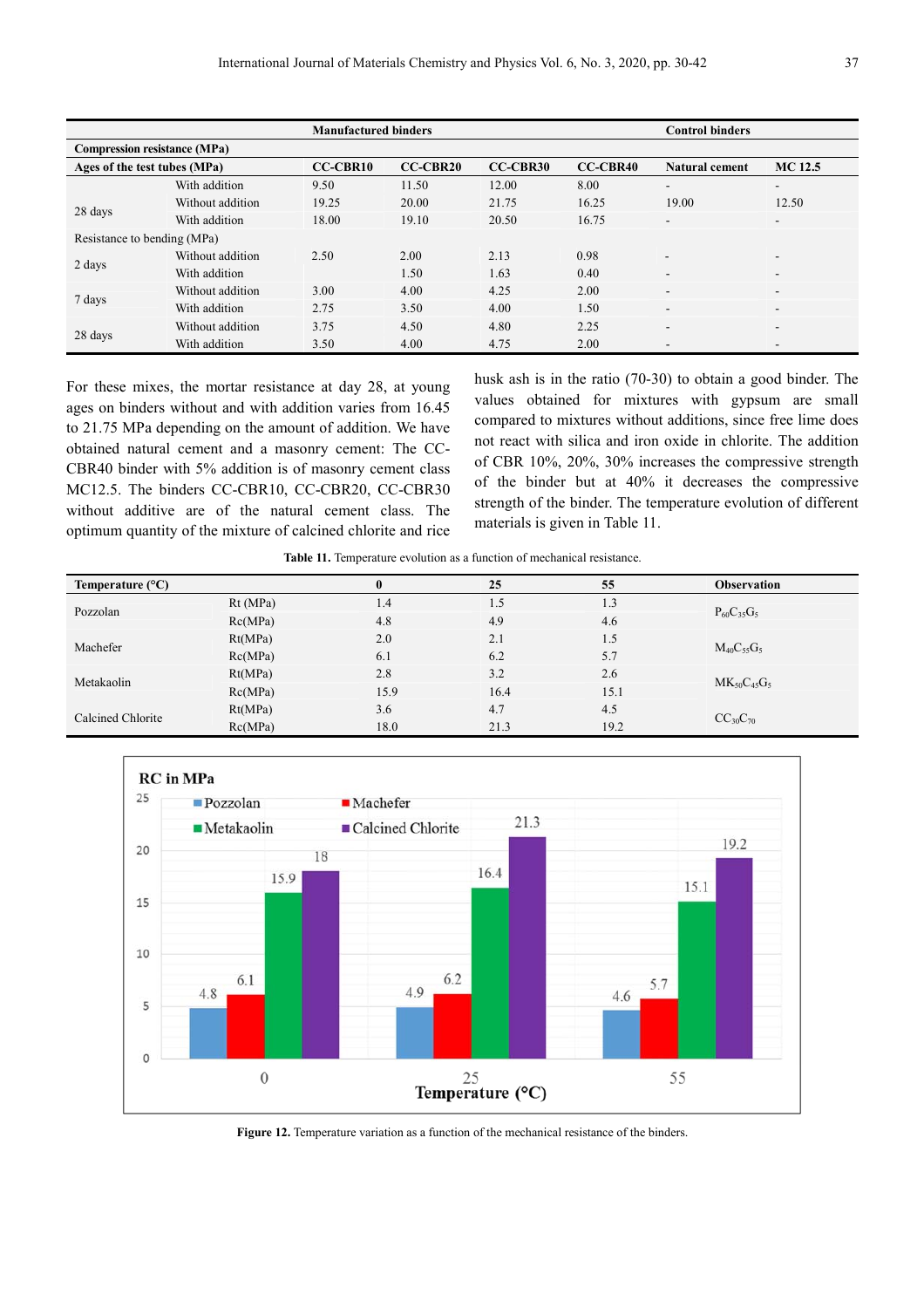|                                     |                  | <b>Manufactured binders</b> |                 |          |          |                          |                          |  |
|-------------------------------------|------------------|-----------------------------|-----------------|----------|----------|--------------------------|--------------------------|--|
| <b>Compression resistance (MPa)</b> |                  |                             |                 |          |          |                          |                          |  |
| Ages of the test tubes (MPa)        |                  | <b>CC-CBR10</b>             | <b>CC-CBR20</b> | CC-CBR30 | CC-CBR40 | <b>Natural cement</b>    | <b>MC</b> 12.5           |  |
|                                     | With addition    | 9.50                        | 11.50           | 12.00    | 8.00     | $\overline{\phantom{a}}$ | -                        |  |
| 28 days                             | Without addition | 19.25                       | 20.00           | 21.75    | 16.25    | 19.00                    | 12.50                    |  |
|                                     | With addition    | 18.00                       | 19.10           | 20.50    | 16.75    | $\overline{\phantom{a}}$ | $\overline{\phantom{a}}$ |  |
| Resistance to bending (MPa)         |                  |                             |                 |          |          |                          |                          |  |
|                                     | Without addition | 2.50                        | 2.00            | 2.13     | 0.98     | $\overline{\phantom{a}}$ | -                        |  |
| 2 days                              | With addition    |                             | 1.50            | 1.63     | 0.40     |                          | -                        |  |
|                                     | Without addition | 3.00                        | 4.00            | 4.25     | 2.00     | $\overline{\phantom{a}}$ | -                        |  |
| 7 days                              | With addition    | 2.75                        | 3.50            | 4.00     | 1.50     | $\overline{\phantom{0}}$ | -                        |  |
|                                     | Without addition | 3.75                        | 4.50            | 4.80     | 2.25     | $\overline{\phantom{a}}$ | -                        |  |
| 28 days                             | With addition    | 3.50                        | 4.00            | 4.75     | 2.00     | $\overline{\phantom{a}}$ | $\qquad \qquad$          |  |

For these mixes, the mortar resistance at day 28, at young ages on binders without and with addition varies from 16.45 to 21.75 MPa depending on the amount of addition. We have obtained natural cement and a masonry cement: The CC-CBR40 binder with 5% addition is of masonry cement class MC12.5. The binders CC-CBR10, CC-CBR20, CC-CBR30 without additive are of the natural cement class. The optimum quantity of the mixture of calcined chlorite and rice husk ash is in the ratio (70-30) to obtain a good binder. The values obtained for mixtures with gypsum are small compared to mixtures without additions, since free lime does not react with silica and iron oxide in chlorite. The addition of CBR 10%, 20%, 30% increases the compressive strength of the binder but at 40% it decreases the compressive strength of the binder. The temperature evolution of different materials is given in Table 11.

**Table 11.** Temperature evolution as a function of mechanical resistance.

| Temperature $(^{\circ}C)$ |         | $\bf{0}$ | 25   | 55   | <b>Observation</b> |
|---------------------------|---------|----------|------|------|--------------------|
| Pozzolan                  | Rt(MPa) | 1.4      | 1.5  | 1.3  |                    |
|                           | Rc(MPa) | 4.8      | 4.9  | 4.6  | $P_{60}C_{35}G_5$  |
|                           | Rt(MPa) | 2.0      | 2.1  | 1.5  |                    |
| Machefer                  | Rc(MPa) | 6.1      | 6.2  | 5.7  | $M_{40}C_{55}G_5$  |
|                           | Rt(MPa) | 2.8      | 3.2  | 2.6  |                    |
| Metakaolin                | Rc(MPa) | 15.9     | 16.4 | 15.1 | $MK_{50}C_{45}G_5$ |
| Calcined Chlorite         | Rt(MPa) | 3.6      | 4.7  | 4.5  |                    |
|                           | Rc(MPa) | 18.0     | 21.3 | 19.2 | $CC_{30}C_{70}$    |



Figure 12. Temperature variation as a function of the mechanical resistance of the binders.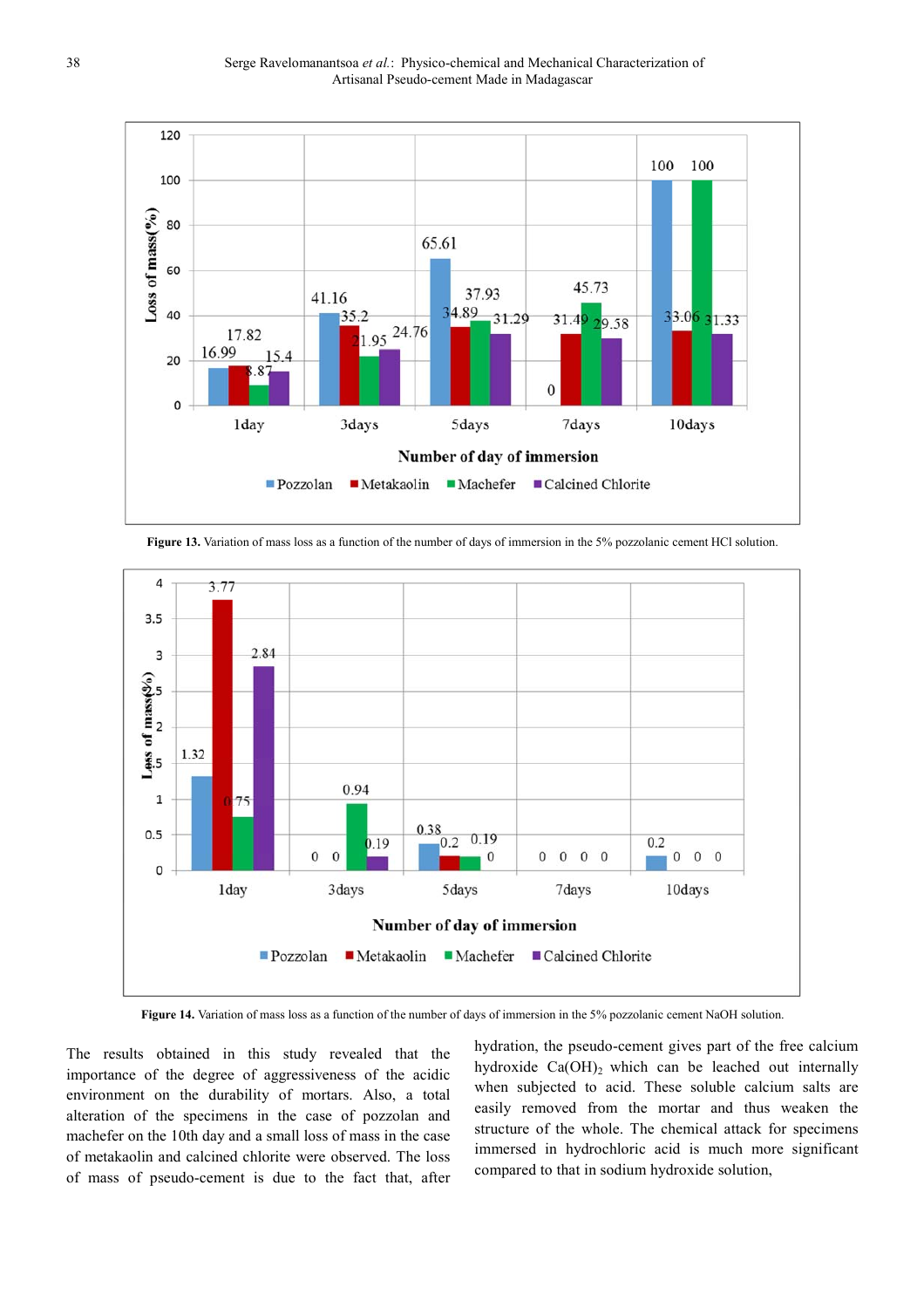

**Figure 13.** Variation of mass loss as a function of the number of days of immersion in the 5% pozzolanic cement HCl solution.



**Figure 14.** Variation of mass loss as a function of the number of days of immersion in the 5% pozzolanic cement NaOH solution.

The results obtained in this study revealed that the importance of the degree of aggressiveness of the acidic environment on the durability of mortars. Also, a total alteration of the specimens in the case of pozzolan and machefer on the 10th day and a small loss of mass in the case of metakaolin and calcined chlorite were observed. The loss of mass of pseudo-cement is due to the fact that, after hydration, the pseudo-cement gives part of the free calcium hydroxide  $Ca(OH)_2$  which can be leached out internally when subjected to acid. These soluble calcium salts are easily removed from the mortar and thus weaken the structure of the whole. The chemical attack for specimens immersed in hydrochloric acid is much more significant compared to that in sodium hydroxide solution,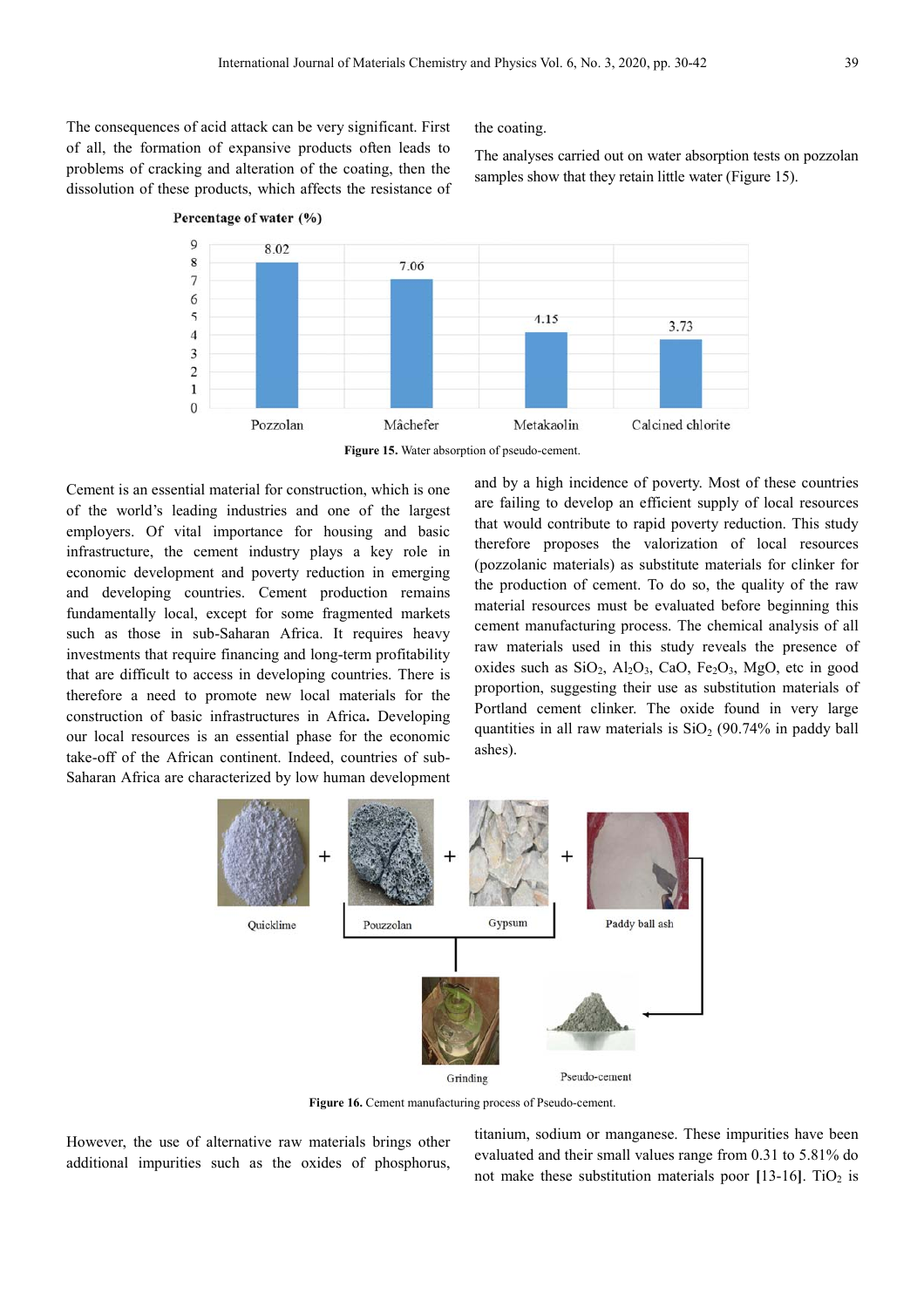The consequences of acid attack can be very significant. First of all, the formation of expansive products often leads to problems of cracking and alteration of the coating, then the dissolution of these products, which affects the resistance of

Percentage of water (%)

the coating.

The analyses carried out on water absorption tests on pozzolan samples show that they retain little water (Figure 15).



**Figure 15.** Water absorption of pseudo-cement.

Cement is an essential material for construction, which is one of the world's leading industries and one of the largest employers. Of vital importance for housing and basic infrastructure, the cement industry plays a key role in economic development and poverty reduction in emerging and developing countries. Cement production remains fundamentally local, except for some fragmented markets such as those in sub-Saharan Africa. It requires heavy investments that require financing and long-term profitability that are difficult to access in developing countries. There is therefore a need to promote new local materials for the construction of basic infrastructures in Africa**.** Developing our local resources is an essential phase for the economic take-off of the African continent. Indeed, countries of sub-Saharan Africa are characterized by low human development and by a high incidence of poverty. Most of these countries are failing to develop an efficient supply of local resources that would contribute to rapid poverty reduction. This study therefore proposes the valorization of local resources (pozzolanic materials) as substitute materials for clinker for the production of cement. To do so, the quality of the raw material resources must be evaluated before beginning this cement manufacturing process. The chemical analysis of all raw materials used in this study reveals the presence of oxides such as  $SiO_2$ ,  $Al_2O_3$ ,  $CaO$ ,  $Fe_2O_3$ ,  $MgO$ , etc in good proportion, suggesting their use as substitution materials of Portland cement clinker. The oxide found in very large quantities in all raw materials is  $SiO<sub>2</sub>$  (90.74% in paddy ball ashes).



Figure 16. Cement manufacturing process of Pseudo-cement.

However, the use of alternative raw materials brings other additional impurities such as the oxides of phosphorus,

titanium, sodium or manganese. These impurities have been evaluated and their small values range from 0.31 to 5.81% do not make these substitution materials poor  $[13-16]$ . TiO<sub>2</sub> is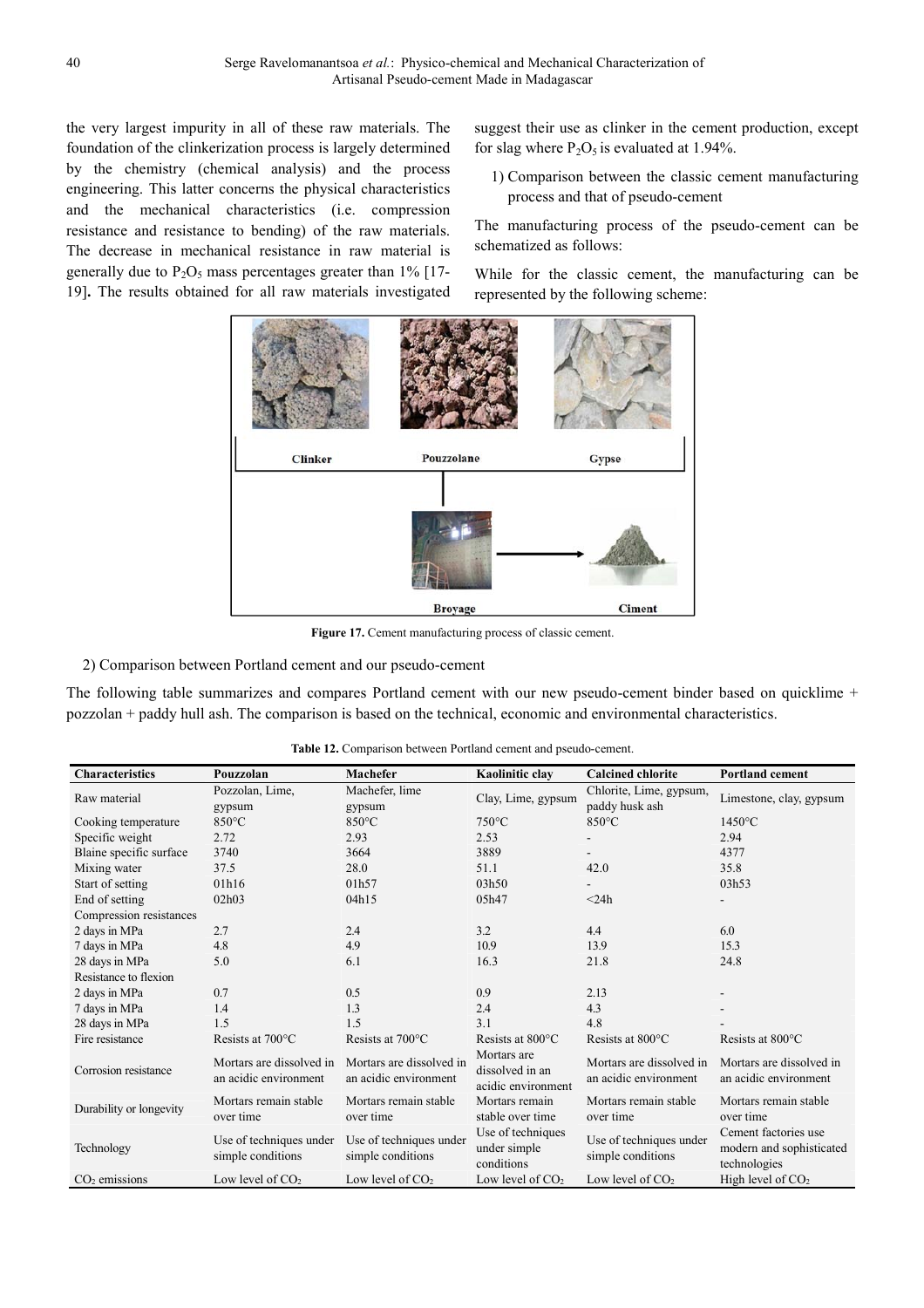the very largest impurity in all of these raw materials. The foundation of the clinkerization process is largely determined by the chemistry (chemical analysis) and the process engineering. This latter concerns the physical characteristics and the mechanical characteristics (i.e. compression resistance and resistance to bending) of the raw materials. The decrease in mechanical resistance in raw material is generally due to  $P_2O_5$  mass percentages greater than 1% [17-19]**.** The results obtained for all raw materials investigated

suggest their use as clinker in the cement production, except for slag where  $P_2O_5$  is evaluated at 1.94%.

1) Comparison between the classic cement manufacturing process and that of pseudo-cement

The manufacturing process of the pseudo-cement can be schematized as follows:

While for the classic cement, the manufacturing can be represented by the following scheme:



Figure 17. Cement manufacturing process of classic cement.

2) Comparison between Portland cement and our pseudo-cement

The following table summarizes and compares Portland cement with our new pseudo-cement binder based on quicklime + pozzolan + paddy hull ash. The comparison is based on the technical, economic and environmental characteristics.

| <b>Characteristics</b>  | Pouzzolan                                         | Machefer                                          | Kaolinitic clay                                      | <b>Calcined chlorite</b>                          | <b>Portland cement</b>                                           |  |
|-------------------------|---------------------------------------------------|---------------------------------------------------|------------------------------------------------------|---------------------------------------------------|------------------------------------------------------------------|--|
| Raw material            | Pozzolan, Lime,                                   | Machefer, lime                                    | Clay, Lime, gypsum                                   | Chlorite, Lime, gypsum,                           | Limestone, clay, gypsum                                          |  |
|                         | gypsum                                            | gypsum                                            |                                                      | paddy husk ash                                    |                                                                  |  |
| Cooking temperature     | $850^{\circ}$ C                                   | $850^{\circ}$ C                                   | $750^{\circ}$ C                                      | $850^{\circ}$ C                                   | $1450^{\circ}$ C                                                 |  |
| Specific weight         | 2.72                                              | 2.93                                              | 2.53                                                 |                                                   | 2.94                                                             |  |
| Blaine specific surface | 3740                                              | 3664                                              | 3889                                                 | $\blacksquare$                                    | 4377                                                             |  |
| Mixing water            | 37.5                                              | 28.0                                              | 51.1                                                 | 42.0                                              | 35.8                                                             |  |
| Start of setting        | 01h16                                             | 01h57                                             | 03h50                                                |                                                   | 03h53                                                            |  |
| End of setting          | 02h03                                             | 04h15                                             | 05h47                                                | $<$ 24h                                           |                                                                  |  |
| Compression resistances |                                                   |                                                   |                                                      |                                                   |                                                                  |  |
| 2 days in MPa           | 2.7                                               | 2.4                                               | 3.2                                                  | 4.4                                               | 6.0                                                              |  |
| 7 days in MPa           | 4.8                                               | 4.9                                               | 10.9                                                 | 13.9                                              | 15.3                                                             |  |
| 28 days in MPa          | 5.0                                               | 6.1                                               | 16.3                                                 | 21.8                                              | 24.8                                                             |  |
| Resistance to flexion   |                                                   |                                                   |                                                      |                                                   |                                                                  |  |
| 2 days in MPa           | 0.7                                               | 0.5                                               | 0.9                                                  | 2.13                                              |                                                                  |  |
| 7 days in MPa           | 1.4                                               | 1.3                                               | 2.4                                                  | 4.3                                               |                                                                  |  |
| 28 days in MPa          | 1.5                                               | 1.5                                               | 3.1                                                  | 4.8                                               |                                                                  |  |
| Fire resistance         | Resists at 700°C                                  | Resists at 700°C                                  | Resists at 800°C                                     | Resists at 800°C                                  | Resists at 800°C                                                 |  |
| Corrosion resistance    | Mortars are dissolved in<br>an acidic environment | Mortars are dissolved in<br>an acidic environment | Mortars are<br>dissolved in an<br>acidic environment | Mortars are dissolved in<br>an acidic environment | Mortars are dissolved in<br>an acidic environment                |  |
| Durability or longevity | Mortars remain stable<br>over time                | Mortars remain stable<br>over time                | Mortars remain<br>stable over time                   | Mortars remain stable<br>over time                | Mortars remain stable<br>over time                               |  |
| Technology              | Use of techniques under<br>simple conditions      | Use of techniques under<br>simple conditions      | Use of techniques<br>under simple<br>conditions      | Use of techniques under<br>simple conditions      | Cement factories use<br>modern and sophisticated<br>technologies |  |
| $CO2$ emissions         | Low level of CO <sub>2</sub>                      | Low level of CO <sub>2</sub>                      | Low level of CO <sub>2</sub>                         | Low level of $CO2$                                | High level of $CO2$                                              |  |

**Table 12.** Comparison between Portland cement and pseudo-cement.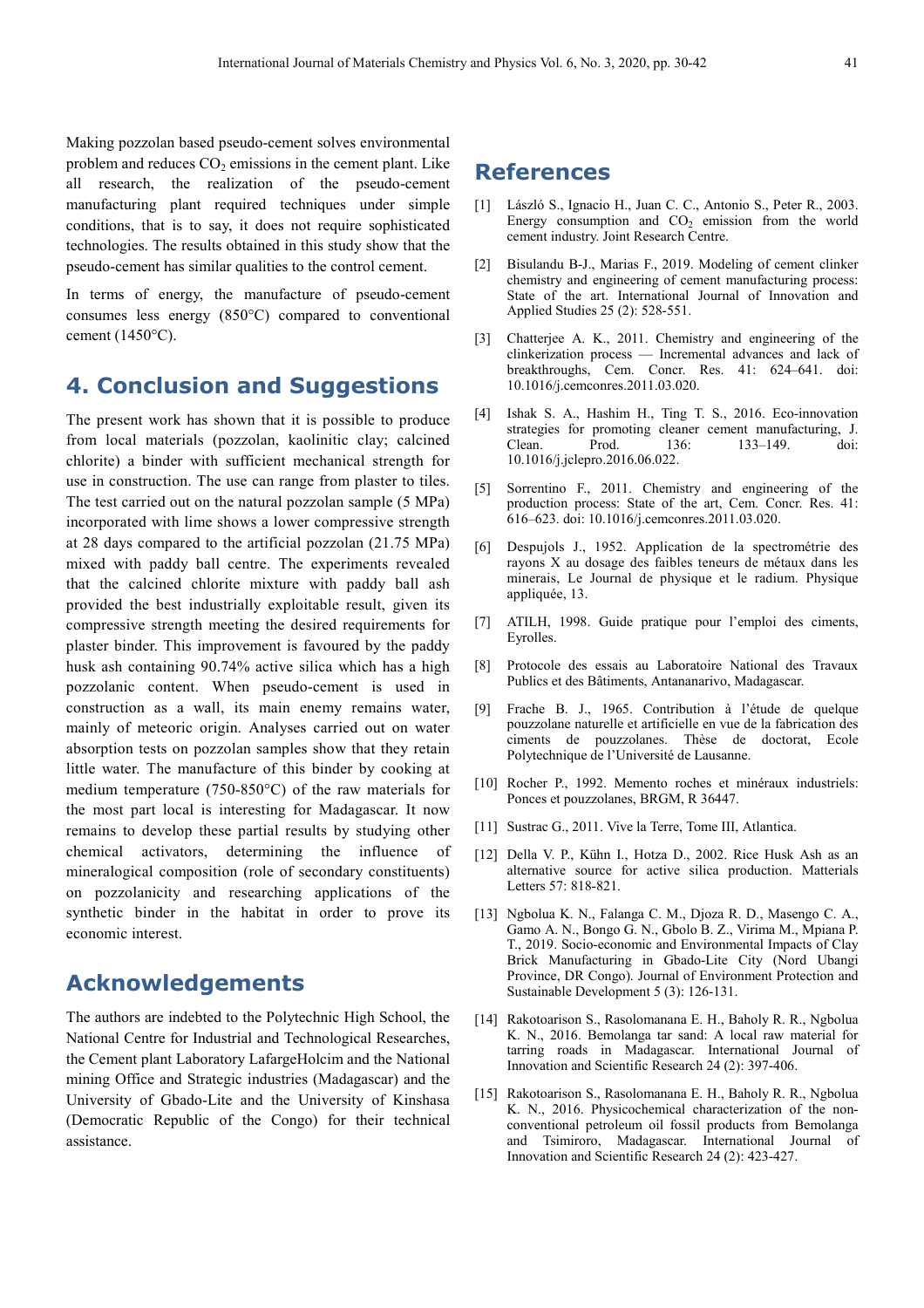Making pozzolan based pseudo-cement solves environmental problem and reduces  $CO<sub>2</sub>$  emissions in the cement plant. Like all research, the realization of the pseudo-cement manufacturing plant required techniques under simple conditions, that is to say, it does not require sophisticated technologies. The results obtained in this study show that the pseudo-cement has similar qualities to the control cement.

In terms of energy, the manufacture of pseudo-cement consumes less energy (850°C) compared to conventional cement (1450°C).

## **4. Conclusion and Suggestions**

The present work has shown that it is possible to produce from local materials (pozzolan, kaolinitic clay; calcined chlorite) a binder with sufficient mechanical strength for use in construction. The use can range from plaster to tiles. The test carried out on the natural pozzolan sample (5 MPa) incorporated with lime shows a lower compressive strength at 28 days compared to the artificial pozzolan (21.75 MPa) mixed with paddy ball centre. The experiments revealed that the calcined chlorite mixture with paddy ball ash provided the best industrially exploitable result, given its compressive strength meeting the desired requirements for plaster binder. This improvement is favoured by the paddy husk ash containing 90.74% active silica which has a high pozzolanic content. When pseudo-cement is used in construction as a wall, its main enemy remains water, mainly of meteoric origin. Analyses carried out on water absorption tests on pozzolan samples show that they retain little water. The manufacture of this binder by cooking at medium temperature (750-850°C) of the raw materials for the most part local is interesting for Madagascar. It now remains to develop these partial results by studying other chemical activators, determining the influence of mineralogical composition (role of secondary constituents) on pozzolanicity and researching applications of the synthetic binder in the habitat in order to prove its economic interest.

### **Acknowledgements**

The authors are indebted to the Polytechnic High School, the National Centre for Industrial and Technological Researches, the Cement plant Laboratory LafargeHolcim and the National mining Office and Strategic industries (Madagascar) and the University of Gbado-Lite and the University of Kinshasa (Democratic Republic of the Congo) for their technical assistance.

### **References**

- [1] László S., Ignacio H., Juan C. C., Antonio S., Peter R., 2003. Energy consumption and  $CO<sub>2</sub>$  emission from the world cement industry. Joint Research Centre.
- [2] Bisulandu B-J., Marias F., 2019. Modeling of cement clinker chemistry and engineering of cement manufacturing process: State of the art. International Journal of Innovation and Applied Studies 25 (2): 528-551.
- [3] Chatterjee A. K., 2011. Chemistry and engineering of the clinkerization process — Incremental advances and lack of breakthroughs, Cem. Concr. Res. 41: 624–641. doi: 10.1016/j.cemconres.2011.03.020.
- [4] Ishak S. A., Hashim H., Ting T. S., 2016. Eco-innovation strategies for promoting cleaner cement manufacturing, J. Clean. Prod. 136: 133–149. doi: 10.1016/j.jclepro.2016.06.022.
- [5] Sorrentino F., 2011. Chemistry and engineering of the production process: State of the art, Cem. Concr. Res. 41: 616–623. doi: 10.1016/j.cemconres.2011.03.020.
- [6] Despujols J., 1952. Application de la spectrométrie des rayons X au dosage des faibles teneurs de métaux dans les minerais, Le Journal de physique et le radium. Physique appliquée, 13.
- [7] ATILH, 1998. Guide pratique pour l'emploi des ciments, Eyrolles.
- [8] Protocole des essais au Laboratoire National des Travaux Publics et des Bâtiments, Antananarivo, Madagascar.
- [9] Frache B. J., 1965. Contribution à l'étude de quelque pouzzolane naturelle et artificielle en vue de la fabrication des ciments de pouzzolanes. Thèse de doctorat, Ecole Polytechnique de l'Université de Lausanne.
- [10] Rocher P., 1992. Memento roches et minéraux industriels: Ponces et pouzzolanes, BRGM, R 36447.
- [11] Sustrac G., 2011. Vive la Terre, Tome III, Atlantica.
- [12] Della V. P., Kühn I., Hotza D., 2002. Rice Husk Ash as an alternative source for active silica production. Matterials Letters 57: 818-821.
- [13] Ngbolua K. N., Falanga C. M., Djoza R. D., Masengo C. A., Gamo A. N., Bongo G. N., Gbolo B. Z., Virima M., Mpiana P. T., 2019. Socio-economic and Environmental Impacts of Clay Brick Manufacturing in Gbado-Lite City (Nord Ubangi Province, DR Congo). Journal of Environment Protection and Sustainable Development 5 (3): 126-131.
- [14] Rakotoarison S., Rasolomanana E. H., Baholy R. R., Ngbolua K. N., 2016. Bemolanga tar sand: A local raw material for tarring roads in Madagascar. International Journal of Innovation and Scientific Research 24 (2): 397-406.
- [15] Rakotoarison S., Rasolomanana E. H., Baholy R. R., Ngbolua K. N., 2016. Physicochemical characterization of the nonconventional petroleum oil fossil products from Bemolanga and Tsimiroro, Madagascar. International Journal of Innovation and Scientific Research 24 (2): 423-427.